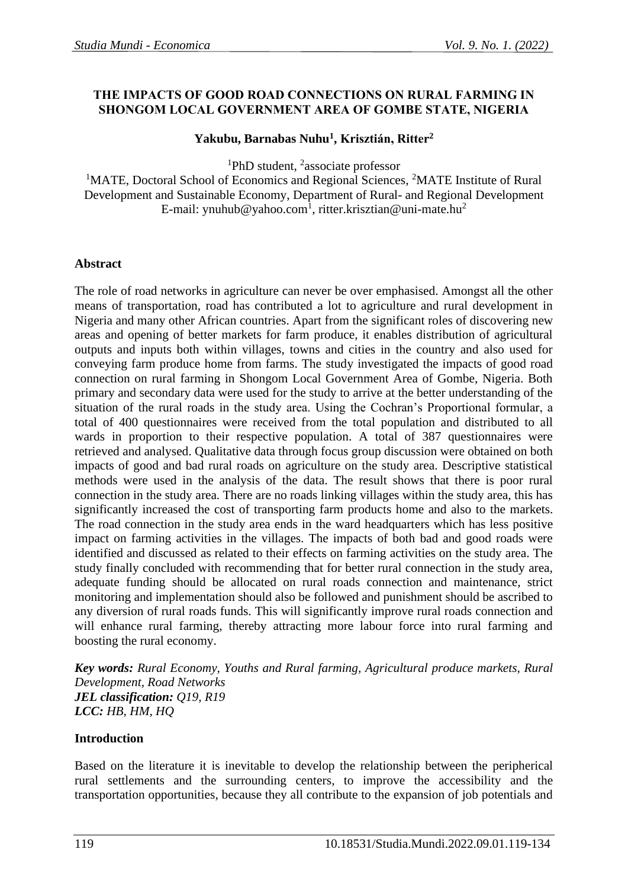# **THE IMPACTS OF GOOD ROAD CONNECTIONS ON RURAL FARMING IN SHONGOM LOCAL GOVERNMENT AREA OF GOMBE STATE, NIGERIA**

# **Yakubu, Barnabas Nuhu<sup>1</sup> , Krisztián, Ritter<sup>2</sup>**

<sup>1</sup>PhD student, <sup>2</sup>associate professor

<sup>1</sup>MATE, Doctoral School of Economics and Regional Sciences, <sup>2</sup>MATE Institute of Rural Development and Sustainable Economy, Department of Rural- and Regional Development E-mail: ynuhub@yahoo.com<sup>1</sup>, ritter.krisztian@uni-mate.hu<sup>2</sup>

## **Abstract**

The role of road networks in agriculture can never be over emphasised. Amongst all the other means of transportation, road has contributed a lot to agriculture and rural development in Nigeria and many other African countries. Apart from the significant roles of discovering new areas and opening of better markets for farm produce, it enables distribution of agricultural outputs and inputs both within villages, towns and cities in the country and also used for conveying farm produce home from farms. The study investigated the impacts of good road connection on rural farming in Shongom Local Government Area of Gombe, Nigeria. Both primary and secondary data were used for the study to arrive at the better understanding of the situation of the rural roads in the study area. Using the Cochran's Proportional formular, a total of 400 questionnaires were received from the total population and distributed to all wards in proportion to their respective population. A total of 387 questionnaires were retrieved and analysed. Qualitative data through focus group discussion were obtained on both impacts of good and bad rural roads on agriculture on the study area. Descriptive statistical methods were used in the analysis of the data. The result shows that there is poor rural connection in the study area. There are no roads linking villages within the study area, this has significantly increased the cost of transporting farm products home and also to the markets. The road connection in the study area ends in the ward headquarters which has less positive impact on farming activities in the villages. The impacts of both bad and good roads were identified and discussed as related to their effects on farming activities on the study area. The study finally concluded with recommending that for better rural connection in the study area, adequate funding should be allocated on rural roads connection and maintenance, strict monitoring and implementation should also be followed and punishment should be ascribed to any diversion of rural roads funds. This will significantly improve rural roads connection and will enhance rural farming, thereby attracting more labour force into rural farming and boosting the rural economy.

*Key words: Rural Economy, Youths and Rural farming, Agricultural produce markets, Rural Development, Road Networks JEL classification: Q19, R19 LCC: HB, HM, HQ*

## **Introduction**

Based on the literature it is inevitable to develop the relationship between the peripherical rural settlements and the surrounding centers, to improve the accessibility and the transportation opportunities, because they all contribute to the expansion of job potentials and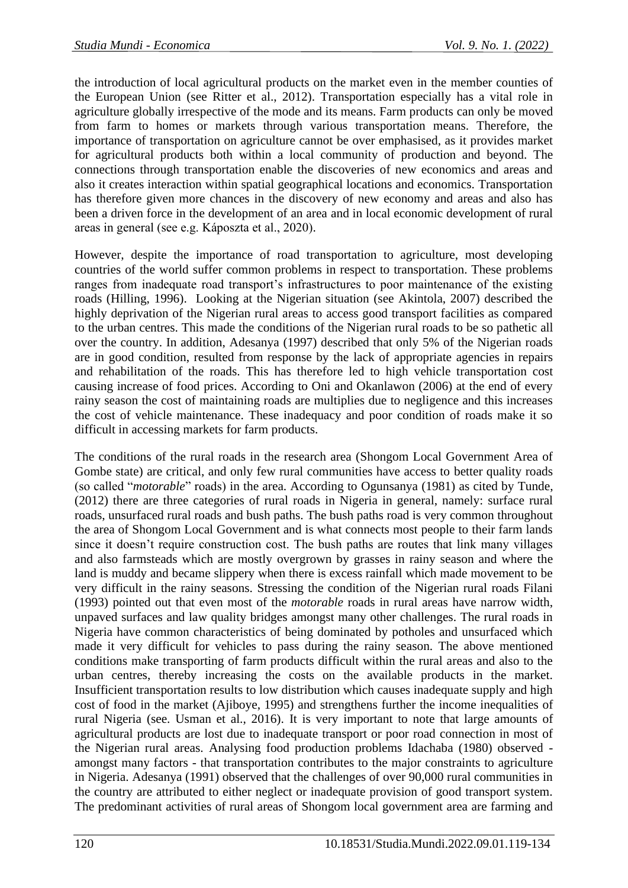the introduction of local agricultural products on the market even in the member counties of the European Union (see Ritter et al., 2012). Transportation especially has a vital role in agriculture globally irrespective of the mode and its means. Farm products can only be moved from farm to homes or markets through various transportation means. Therefore, the importance of transportation on agriculture cannot be over emphasised, as it provides market for agricultural products both within a local community of production and beyond. The connections through transportation enable the discoveries of new economics and areas and also it creates interaction within spatial geographical locations and economics. Transportation has therefore given more chances in the discovery of new economy and areas and also has been a driven force in the development of an area and in local economic development of rural areas in general (see e.g. Káposzta et al., 2020).

However, despite the importance of road transportation to agriculture, most developing countries of the world suffer common problems in respect to transportation. These problems ranges from inadequate road transport's infrastructures to poor maintenance of the existing roads (Hilling, 1996). Looking at the Nigerian situation (see Akintola, 2007) described the highly deprivation of the Nigerian rural areas to access good transport facilities as compared to the urban centres. This made the conditions of the Nigerian rural roads to be so pathetic all over the country. In addition, Adesanya (1997) described that only 5% of the Nigerian roads are in good condition, resulted from response by the lack of appropriate agencies in repairs and rehabilitation of the roads. This has therefore led to high vehicle transportation cost causing increase of food prices. According to Oni and Okanlawon (2006) at the end of every rainy season the cost of maintaining roads are multiplies due to negligence and this increases the cost of vehicle maintenance. These inadequacy and poor condition of roads make it so difficult in accessing markets for farm products.

The conditions of the rural roads in the research area (Shongom Local Government Area of Gombe state) are critical, and only few rural communities have access to better quality roads (so called "*motorable*" roads) in the area. According to Ogunsanya (1981) as cited by Tunde, (2012) there are three categories of rural roads in Nigeria in general, namely: surface rural roads, unsurfaced rural roads and bush paths. The bush paths road is very common throughout the area of Shongom Local Government and is what connects most people to their farm lands since it doesn't require construction cost. The bush paths are routes that link many villages and also farmsteads which are mostly overgrown by grasses in rainy season and where the land is muddy and became slippery when there is excess rainfall which made movement to be very difficult in the rainy seasons. Stressing the condition of the Nigerian rural roads Filani (1993) pointed out that even most of the *motorable* roads in rural areas have narrow width, unpaved surfaces and law quality bridges amongst many other challenges. The rural roads in Nigeria have common characteristics of being dominated by potholes and unsurfaced which made it very difficult for vehicles to pass during the rainy season. The above mentioned conditions make transporting of farm products difficult within the rural areas and also to the urban centres, thereby increasing the costs on the available products in the market. Insufficient transportation results to low distribution which causes inadequate supply and high cost of food in the market (Ajiboye, 1995) and strengthens further the income inequalities of rural Nigeria (see. Usman et al., 2016). It is very important to note that large amounts of agricultural products are lost due to inadequate transport or poor road connection in most of the Nigerian rural areas. Analysing food production problems Idachaba (1980) observed amongst many factors - that transportation contributes to the major constraints to agriculture in Nigeria. Adesanya (1991) observed that the challenges of over 90,000 rural communities in the country are attributed to either neglect or inadequate provision of good transport system. The predominant activities of rural areas of Shongom local government area are farming and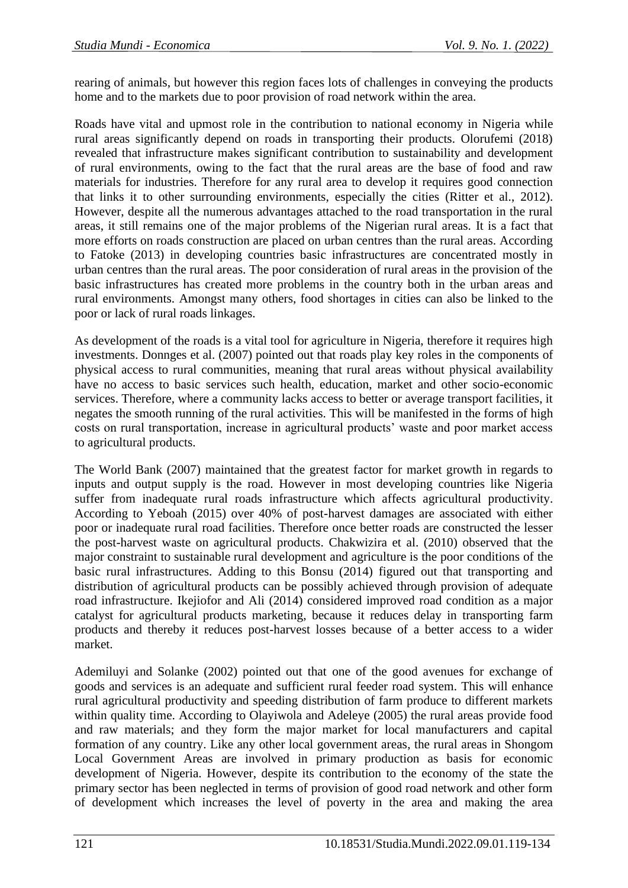rearing of animals, but however this region faces lots of challenges in conveying the products home and to the markets due to poor provision of road network within the area.

Roads have vital and upmost role in the contribution to national economy in Nigeria while rural areas significantly depend on roads in transporting their products. Olorufemi (2018) revealed that infrastructure makes significant contribution to sustainability and development of rural environments, owing to the fact that the rural areas are the base of food and raw materials for industries. Therefore for any rural area to develop it requires good connection that links it to other surrounding environments, especially the cities (Ritter et al., 2012). However, despite all the numerous advantages attached to the road transportation in the rural areas, it still remains one of the major problems of the Nigerian rural areas. It is a fact that more efforts on roads construction are placed on urban centres than the rural areas. According to Fatoke (2013) in developing countries basic infrastructures are concentrated mostly in urban centres than the rural areas. The poor consideration of rural areas in the provision of the basic infrastructures has created more problems in the country both in the urban areas and rural environments. Amongst many others, food shortages in cities can also be linked to the poor or lack of rural roads linkages.

As development of the roads is a vital tool for agriculture in Nigeria, therefore it requires high investments. Donnges et al. (2007) pointed out that roads play key roles in the components of physical access to rural communities, meaning that rural areas without physical availability have no access to basic services such health, education, market and other socio-economic services. Therefore, where a community lacks access to better or average transport facilities, it negates the smooth running of the rural activities. This will be manifested in the forms of high costs on rural transportation, increase in agricultural products' waste and poor market access to agricultural products.

The World Bank (2007) maintained that the greatest factor for market growth in regards to inputs and output supply is the road. However in most developing countries like Nigeria suffer from inadequate rural roads infrastructure which affects agricultural productivity. According to Yeboah (2015) over 40% of post-harvest damages are associated with either poor or inadequate rural road facilities. Therefore once better roads are constructed the lesser the post-harvest waste on agricultural products. Chakwizira et al. (2010) observed that the major constraint to sustainable rural development and agriculture is the poor conditions of the basic rural infrastructures. Adding to this Bonsu (2014) figured out that transporting and distribution of agricultural products can be possibly achieved through provision of adequate road infrastructure. Ikejiofor and Ali (2014) considered improved road condition as a major catalyst for agricultural products marketing, because it reduces delay in transporting farm products and thereby it reduces post-harvest losses because of a better access to a wider market.

Ademiluyi and Solanke (2002) pointed out that one of the good avenues for exchange of goods and services is an adequate and sufficient rural feeder road system. This will enhance rural agricultural productivity and speeding distribution of farm produce to different markets within quality time. According to Olayiwola and Adeleye (2005) the rural areas provide food and raw materials; and they form the major market for local manufacturers and capital formation of any country. Like any other local government areas, the rural areas in Shongom Local Government Areas are involved in primary production as basis for economic development of Nigeria. However, despite its contribution to the economy of the state the primary sector has been neglected in terms of provision of good road network and other form of development which increases the level of poverty in the area and making the area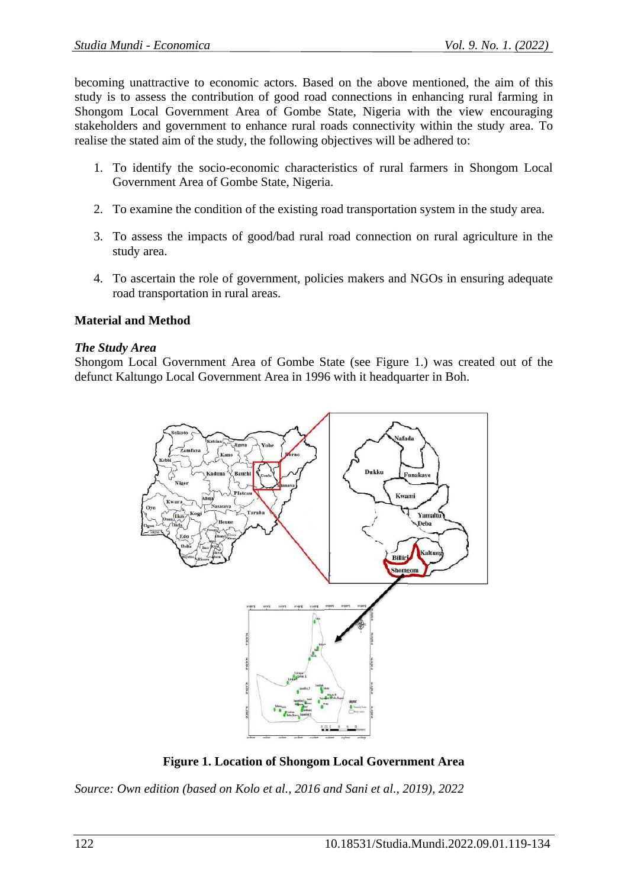becoming unattractive to economic actors. Based on the above mentioned, the aim of this study is to assess the contribution of good road connections in enhancing rural farming in Shongom Local Government Area of Gombe State, Nigeria with the view encouraging stakeholders and government to enhance rural roads connectivity within the study area. To realise the stated aim of the study, the following objectives will be adhered to:

- 1. To identify the socio-economic characteristics of rural farmers in Shongom Local Government Area of Gombe State, Nigeria.
- 2. To examine the condition of the existing road transportation system in the study area.
- 3. To assess the impacts of good/bad rural road connection on rural agriculture in the study area.
- 4. To ascertain the role of government, policies makers and NGOs in ensuring adequate road transportation in rural areas.

## **Material and Method**

#### *The Study Area*

Shongom Local Government Area of Gombe State (see Figure 1.) was created out of the defunct Kaltungo Local Government Area in 1996 with it headquarter in Boh.



**Figure 1. Location of Shongom Local Government Area**

*Source: Own edition (based on Kolo et al., 2016 and Sani et al., 2019), 2022*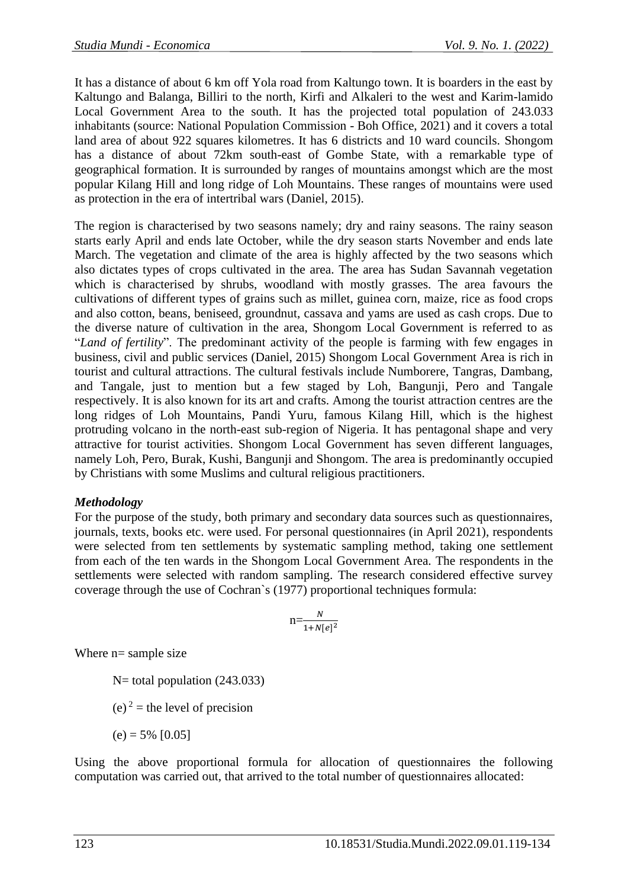It has a distance of about 6 km off Yola road from Kaltungo town. It is boarders in the east by Kaltungo and Balanga, Billiri to the north, Kirfi and Alkaleri to the west and Karim-lamido Local Government Area to the south. It has the projected total population of 243.033 inhabitants (source: National Population Commission - Boh Office, 2021) and it covers a total land area of about 922 squares kilometres. It has 6 districts and 10 ward councils. Shongom has a distance of about 72km south-east of Gombe State, with a remarkable type of geographical formation. It is surrounded by ranges of mountains amongst which are the most popular Kilang Hill and long ridge of Loh Mountains. These ranges of mountains were used as protection in the era of intertribal wars (Daniel, 2015).

The region is characterised by two seasons namely; dry and rainy seasons. The rainy season starts early April and ends late October, while the dry season starts November and ends late March. The vegetation and climate of the area is highly affected by the two seasons which also dictates types of crops cultivated in the area. The area has Sudan Savannah vegetation which is characterised by shrubs, woodland with mostly grasses. The area favours the cultivations of different types of grains such as millet, guinea corn, maize, rice as food crops and also cotton, beans, beniseed, groundnut, cassava and yams are used as cash crops. Due to the diverse nature of cultivation in the area, Shongom Local Government is referred to as "*Land of fertility*". The predominant activity of the people is farming with few engages in business, civil and public services (Daniel, 2015) Shongom Local Government Area is rich in tourist and cultural attractions. The cultural festivals include Numborere, Tangras, Dambang, and Tangale, just to mention but a few staged by Loh, Bangunji, Pero and Tangale respectively. It is also known for its art and crafts. Among the tourist attraction centres are the long ridges of Loh Mountains, Pandi Yuru, famous Kilang Hill, which is the highest protruding volcano in the north-east sub-region of Nigeria. It has pentagonal shape and very attractive for tourist activities. Shongom Local Government has seven different languages, namely Loh, Pero, Burak, Kushi, Bangunji and Shongom. The area is predominantly occupied by Christians with some Muslims and cultural religious practitioners.

# *Methodology*

For the purpose of the study, both primary and secondary data sources such as questionnaires, journals, texts, books etc. were used. For personal questionnaires (in April 2021), respondents were selected from ten settlements by systematic sampling method, taking one settlement from each of the ten wards in the Shongom Local Government Area. The respondents in the settlements were selected with random sampling. The research considered effective survey coverage through the use of Cochran`s (1977) proportional techniques formula:

$$
n=\frac{N}{1+N[e]^2}
$$

Where n= sample size

N= total population (243.033)

(e)  $2 =$  the level of precision

 $(e) = 5\% [0.05]$ 

Using the above proportional formula for allocation of questionnaires the following computation was carried out, that arrived to the total number of questionnaires allocated: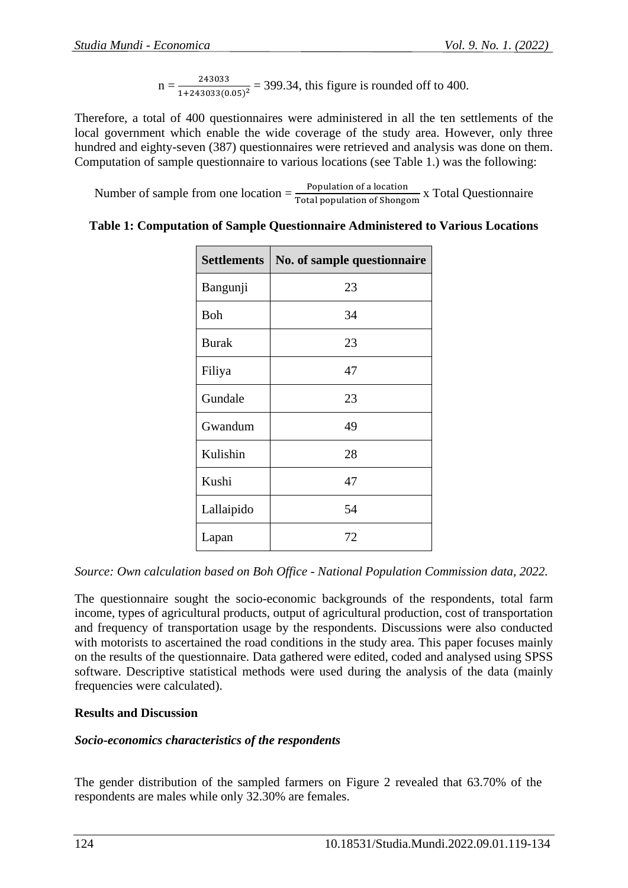$n = \frac{243033}{1 + 24203268}$  $\frac{243033}{1+243033(0.05)^2}$  = 399.34, this figure is rounded off to 400.

Therefore, a total of 400 questionnaires were administered in all the ten settlements of the local government which enable the wide coverage of the study area. However, only three hundred and eighty-seven (387) questionnaires were retrieved and analysis was done on them. Computation of sample questionnaire to various locations (see Table 1.) was the following:

Number of sample from one location  $=\frac{Population of a location}{Total population of Shongom}$  x Total Questionnaire

| <b>Settlements</b> | No. of sample questionnaire |
|--------------------|-----------------------------|
| Bangunji           | 23                          |
| Boh                | 34                          |
| <b>Burak</b>       | 23                          |
| Filiya             | 47                          |
| Gundale            | 23                          |
| Gwandum            | 49                          |
| Kulishin           | 28                          |
| Kushi              | 47                          |
| Lallaipido         | 54                          |
| Lapan              | 72                          |

# **Table 1: Computation of Sample Questionnaire Administered to Various Locations**

*Source: Own calculation based on Boh Office - National Population Commission data, 2022.*

The questionnaire sought the socio-economic backgrounds of the respondents, total farm income, types of agricultural products, output of agricultural production, cost of transportation and frequency of transportation usage by the respondents. Discussions were also conducted with motorists to ascertained the road conditions in the study area. This paper focuses mainly on the results of the questionnaire. Data gathered were edited, coded and analysed using SPSS software. Descriptive statistical methods were used during the analysis of the data (mainly frequencies were calculated).

# **Results and Discussion**

## *Socio-economics characteristics of the respondents*

The gender distribution of the sampled farmers on Figure 2 revealed that 63.70% of the respondents are males while only 32.30% are females.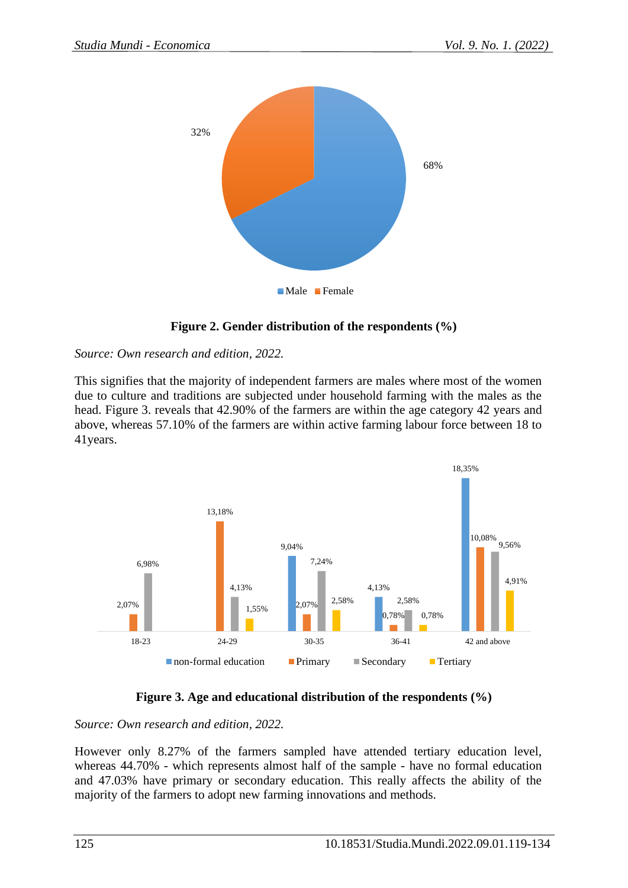

# **Figure 2. Gender distribution of the respondents (%)**

*Source: Own research and edition, 2022.*

This signifies that the majority of independent farmers are males where most of the women due to culture and traditions are subjected under household farming with the males as the head. Figure 3. reveals that 42.90% of the farmers are within the age category 42 years and above, whereas 57.10% of the farmers are within active farming labour force between 18 to 41years.



# **Figure 3. Age and educational distribution of the respondents (%)**

*Source: Own research and edition, 2022.*

However only 8.27% of the farmers sampled have attended tertiary education level, whereas 44.70% - which represents almost half of the sample - have no formal education and 47.03% have primary or secondary education. This really affects the ability of the majority of the farmers to adopt new farming innovations and methods.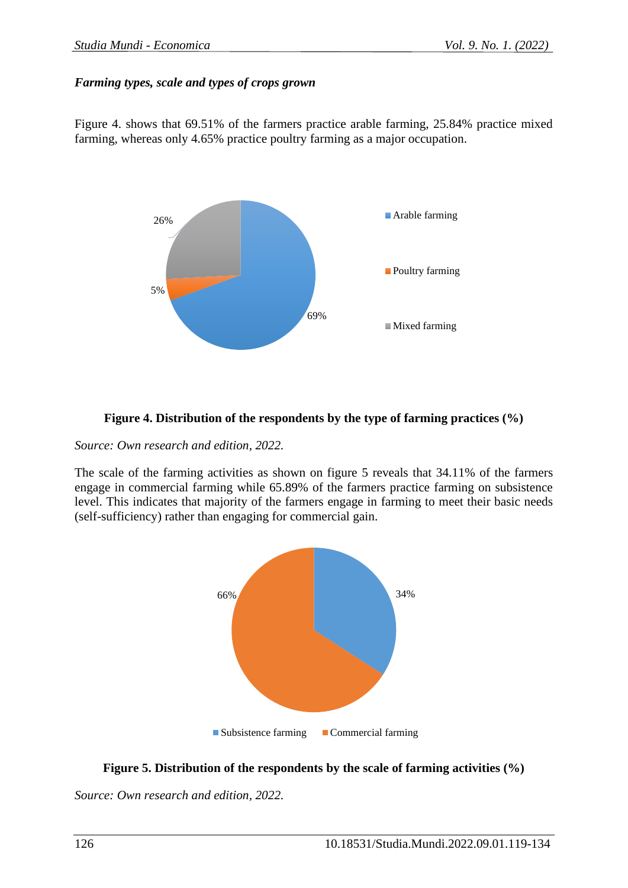#### *Farming types, scale and types of crops grown*

Figure 4. shows that 69.51% of the farmers practice arable farming, 25.84% practice mixed farming, whereas only 4.65% practice poultry farming as a major occupation.



#### **Figure 4. Distribution of the respondents by the type of farming practices (%)**

*Source: Own research and edition, 2022.*

The scale of the farming activities as shown on figure 5 reveals that 34.11% of the farmers engage in commercial farming while 65.89% of the farmers practice farming on subsistence level. This indicates that majority of the farmers engage in farming to meet their basic needs (self-sufficiency) rather than engaging for commercial gain.



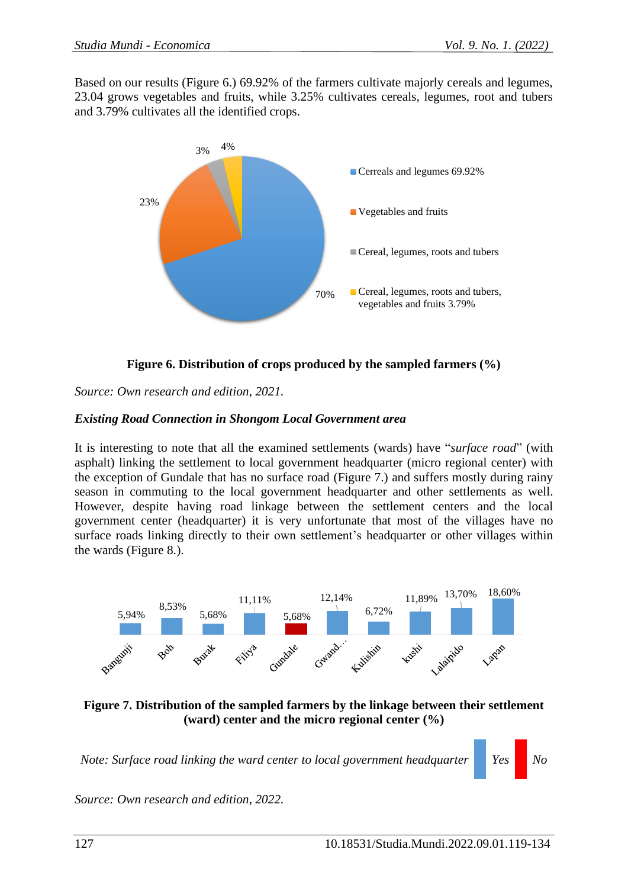Based on our results (Figure 6.) 69.92% of the farmers cultivate majorly cereals and legumes, 23.04 grows vegetables and fruits, while 3.25% cultivates cereals, legumes, root and tubers and 3.79% cultivates all the identified crops.



**Figure 6. Distribution of crops produced by the sampled farmers (%)**

*Source: Own research and edition, 2021.*

## *Existing Road Connection in Shongom Local Government area*

It is interesting to note that all the examined settlements (wards) have "*surface road*" (with asphalt) linking the settlement to local government headquarter (micro regional center) with the exception of Gundale that has no surface road (Figure 7.) and suffers mostly during rainy season in commuting to the local government headquarter and other settlements as well. However, despite having road linkage between the settlement centers and the local government center (headquarter) it is very unfortunate that most of the villages have no surface roads linking directly to their own settlement's headquarter or other villages within the wards (Figure 8.).



**Figure 7. Distribution of the sampled farmers by the linkage between their settlement (ward) center and the micro regional center (%)**

*Note: Surface road linking the ward center to local government headquarter Yes No*

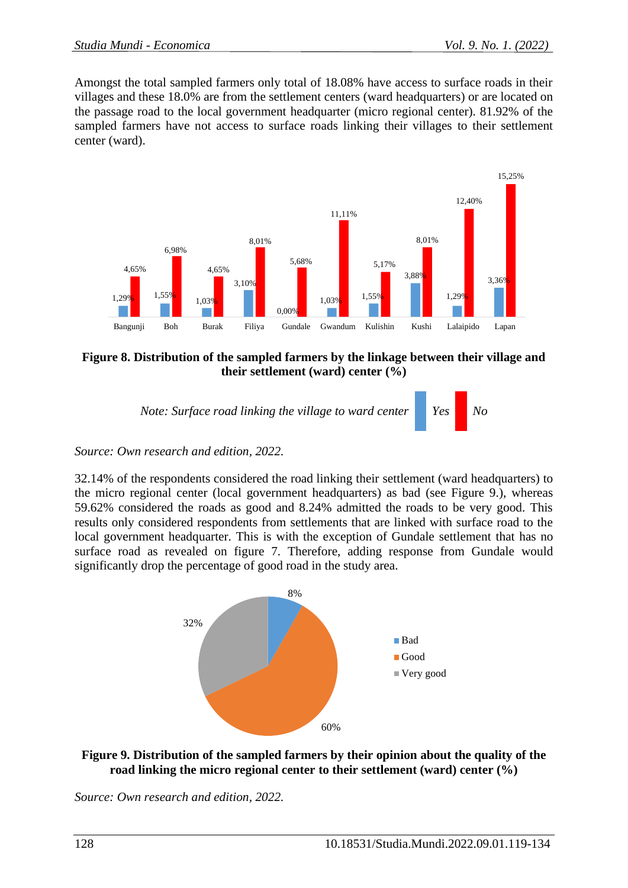Amongst the total sampled farmers only total of 18.08% have access to surface roads in their villages and these 18.0% are from the settlement centers (ward headquarters) or are located on the passage road to the local government headquarter (micro regional center). 81.92% of the sampled farmers have not access to surface roads linking their villages to their settlement center (ward).



## **Figure 8. Distribution of the sampled farmers by the linkage between their village and their settlement (ward) center (%)**



## *Source: Own research and edition, 2022.*

32.14% of the respondents considered the road linking their settlement (ward headquarters) to the micro regional center (local government headquarters) as bad (see Figure 9.), whereas 59.62% considered the roads as good and 8.24% admitted the roads to be very good. This results only considered respondents from settlements that are linked with surface road to the local government headquarter. This is with the exception of Gundale settlement that has no surface road as revealed on figure 7. Therefore, adding response from Gundale would significantly drop the percentage of good road in the study area.



## **Figure 9. Distribution of the sampled farmers by their opinion about the quality of the road linking the micro regional center to their settlement (ward) center (%)**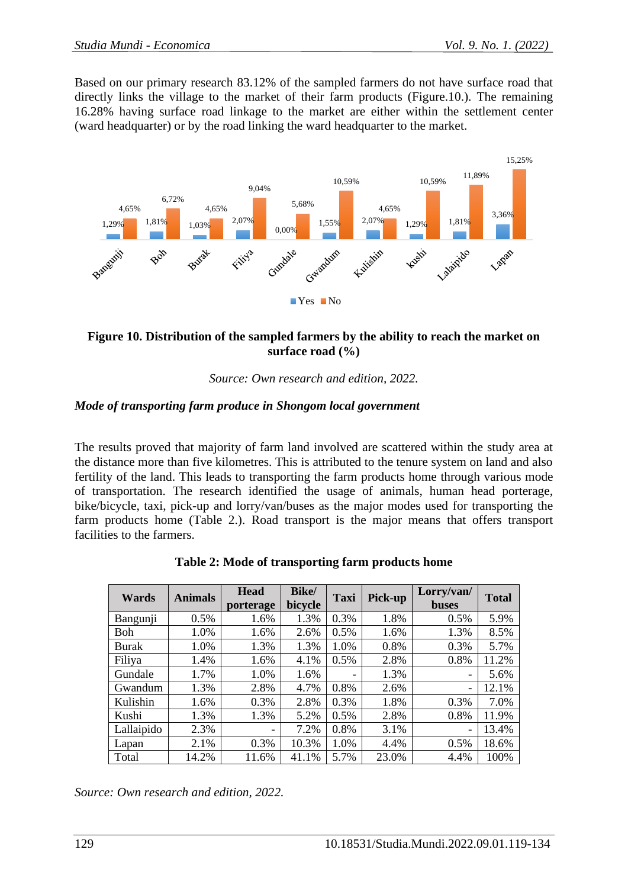Based on our primary research 83.12% of the sampled farmers do not have surface road that directly links the village to the market of their farm products (Figure.10.). The remaining 16.28% having surface road linkage to the market are either within the settlement center (ward headquarter) or by the road linking the ward headquarter to the market.



## **Figure 10. Distribution of the sampled farmers by the ability to reach the market on surface road (%)**

*Source: Own research and edition, 2022.*

## *Mode of transporting farm produce in Shongom local government*

The results proved that majority of farm land involved are scattered within the study area at the distance more than five kilometres. This is attributed to the tenure system on land and also fertility of the land. This leads to transporting the farm products home through various mode of transportation. The research identified the usage of animals, human head porterage, bike/bicycle, taxi, pick-up and lorry/van/buses as the major modes used for transporting the farm products home (Table 2.). Road transport is the major means that offers transport facilities to the farmers.

| Wards        | <b>Animals</b> | <b>Head</b><br>porterage | Bike/<br>bicycle | Taxi                     | Pick-up | Lorry/van/<br><b>buses</b> | <b>Total</b> |
|--------------|----------------|--------------------------|------------------|--------------------------|---------|----------------------------|--------------|
| Bangunji     | 0.5%           | 1.6%                     | 1.3%             | 0.3%                     | 1.8%    | 0.5%                       | 5.9%         |
| Boh          | 1.0%           | 1.6%                     | 2.6%             | 0.5%                     | 1.6%    | 1.3%                       | 8.5%         |
| <b>Burak</b> | 1.0%           | 1.3%                     | 1.3%             | 1.0%                     | 0.8%    | 0.3%                       | 5.7%         |
| Filiya       | 1.4%           | 1.6%                     | 4.1%             | 0.5%                     | 2.8%    | 0.8%                       | 11.2%        |
| Gundale      | 1.7%           | 1.0%                     | 1.6%             | $\overline{\phantom{0}}$ | 1.3%    | -                          | 5.6%         |
| Gwandum      | 1.3%           | 2.8%                     | 4.7%             | 0.8%                     | 2.6%    | $\qquad \qquad$            | 12.1%        |
| Kulishin     | 1.6%           | 0.3%                     | 2.8%             | 0.3%                     | 1.8%    | 0.3%                       | 7.0%         |
| Kushi        | 1.3%           | 1.3%                     | 5.2%             | 0.5%                     | 2.8%    | 0.8%                       | 11.9%        |
| Lallaipido   | 2.3%           | -                        | 7.2%             | 0.8%                     | 3.1%    |                            | 13.4%        |
| Lapan        | 2.1%           | 0.3%                     | 10.3%            | 1.0%                     | 4.4%    | 0.5%                       | 18.6%        |
| Total        | 14.2%          | 11.6%                    | 41.1%            | 5.7%                     | 23.0%   | 4.4%                       | 100%         |

|  | Table 2: Mode of transporting farm products home |  |
|--|--------------------------------------------------|--|
|--|--------------------------------------------------|--|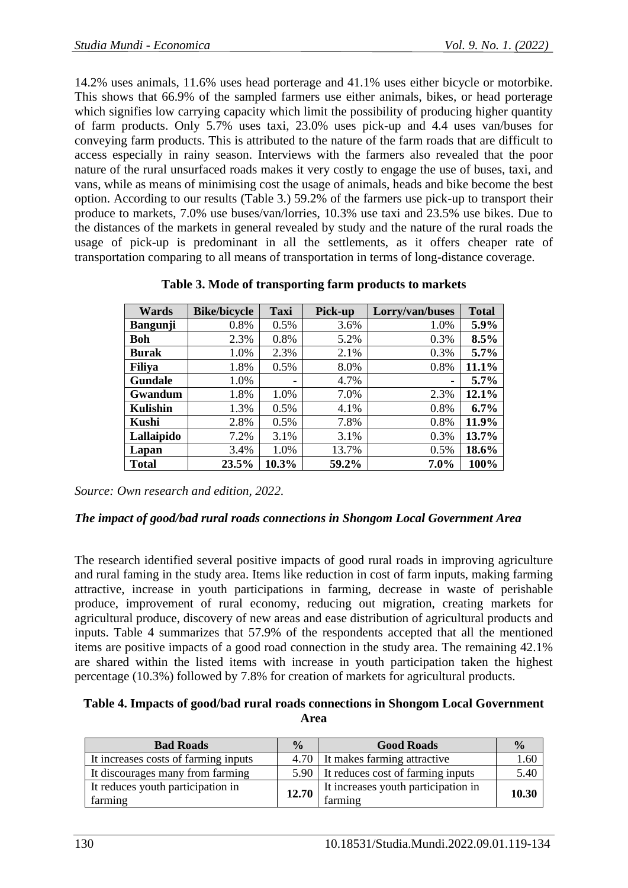14.2% uses animals, 11.6% uses head porterage and 41.1% uses either bicycle or motorbike. This shows that 66.9% of the sampled farmers use either animals, bikes, or head porterage which signifies low carrying capacity which limit the possibility of producing higher quantity of farm products. Only 5.7% uses taxi, 23.0% uses pick-up and 4.4 uses van/buses for conveying farm products. This is attributed to the nature of the farm roads that are difficult to access especially in rainy season. Interviews with the farmers also revealed that the poor nature of the rural unsurfaced roads makes it very costly to engage the use of buses, taxi, and vans, while as means of minimising cost the usage of animals, heads and bike become the best option. According to our results (Table 3.) 59.2% of the farmers use pick-up to transport their produce to markets, 7.0% use buses/van/lorries, 10.3% use taxi and 23.5% use bikes. Due to the distances of the markets in general revealed by study and the nature of the rural roads the usage of pick-up is predominant in all the settlements, as it offers cheaper rate of transportation comparing to all means of transportation in terms of long-distance coverage.

| Wards           | <b>Bike/bicycle</b> | <b>Taxi</b> | Pick-up | Lorry/van/buses          | <b>Total</b> |
|-----------------|---------------------|-------------|---------|--------------------------|--------------|
| <b>Bangunji</b> | 0.8%                | 0.5%        | 3.6%    | 1.0%                     | 5.9%         |
| <b>Boh</b>      | 2.3%                | 0.8%        | 5.2%    | 0.3%                     | 8.5%         |
| <b>Burak</b>    | 1.0%                | 2.3%        | 2.1%    | 0.3%                     | 5.7%         |
| <b>Filiya</b>   | 1.8%                | 0.5%        | 8.0%    | 0.8%                     | 11.1%        |
| Gundale         | 1.0%                |             | 4.7%    | $\overline{\phantom{a}}$ | $5.7\%$      |
| Gwandum         | 1.8%                | 1.0%        | 7.0%    | 2.3%                     | 12.1%        |
| <b>Kulishin</b> | 1.3%                | 0.5%        | 4.1%    | 0.8%                     | 6.7%         |
| Kushi           | 2.8%                | 0.5%        | 7.8%    | 0.8%                     | 11.9%        |
| Lallaipido      | 7.2%                | 3.1%        | 3.1%    | 0.3%                     | 13.7%        |
| Lapan           | 3.4%                | 1.0%        | 13.7%   | 0.5%                     | 18.6%        |
| <b>Total</b>    | 23.5%               | 10.3%       | 59.2%   | 7.0%                     | 100%         |

**Table 3. Mode of transporting farm products to markets**

*Source: Own research and edition, 2022.*

## *The impact of good/bad rural roads connections in Shongom Local Government Area*

The research identified several positive impacts of good rural roads in improving agriculture and rural faming in the study area. Items like reduction in cost of farm inputs, making farming attractive, increase in youth participations in farming, decrease in waste of perishable produce, improvement of rural economy, reducing out migration, creating markets for agricultural produce, discovery of new areas and ease distribution of agricultural products and inputs. Table 4 summarizes that 57.9% of the respondents accepted that all the mentioned items are positive impacts of a good road connection in the study area. The remaining 42.1% are shared within the listed items with increase in youth participation taken the highest percentage (10.3%) followed by 7.8% for creation of markets for agricultural products.

#### **Table 4. Impacts of good/bad rural roads connections in Shongom Local Government Area**

| <b>Bad Roads</b>                     | $\frac{0}{0}$ | <b>Good Roads</b>                      | $\frac{0}{2}$ |
|--------------------------------------|---------------|----------------------------------------|---------------|
| It increases costs of farming inputs |               | 4.70 It makes farming attractive       | 1.60          |
| It discourages many from farming     |               | 5.90 It reduces cost of farming inputs | 5.40          |
| It reduces youth participation in    | 12.70         | It increases youth participation in    | 10.30         |
| farming                              |               | farming                                |               |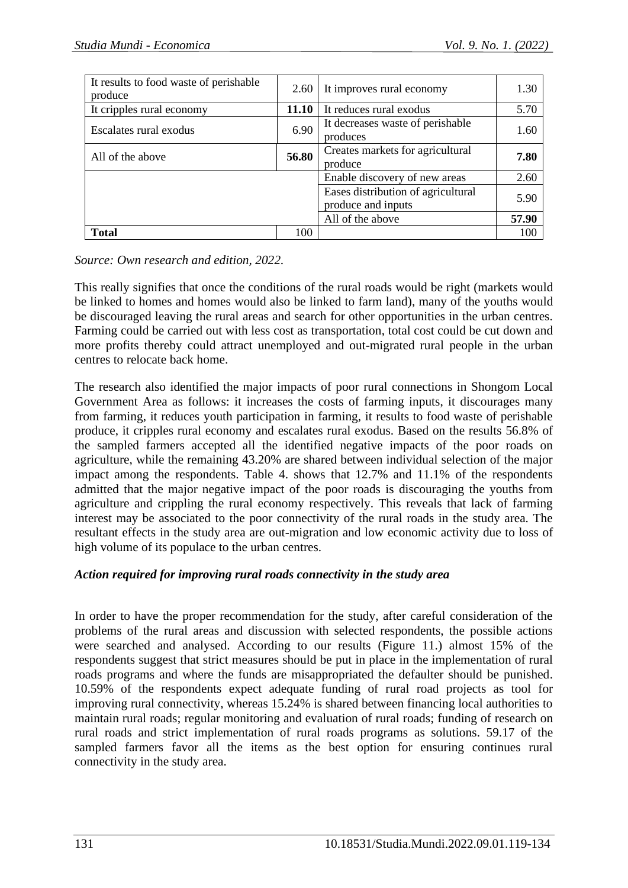| It results to food waste of perishable<br>produce | 2.60  | It improves rural economy                                | 1.30  |
|---------------------------------------------------|-------|----------------------------------------------------------|-------|
| It cripples rural economy                         | 11.10 | It reduces rural exodus                                  | 5.70  |
| Escalates rural exodus                            | 6.90  | It decreases waste of perishable<br>produces             | 1.60  |
| All of the above                                  | 56.80 | Creates markets for agricultural<br>produce              | 7.80  |
|                                                   |       | Enable discovery of new areas                            | 2.60  |
|                                                   |       | Eases distribution of agricultural<br>produce and inputs | 5.90  |
|                                                   |       | All of the above                                         | 57.90 |
| <b>Total</b>                                      | 100   |                                                          | 100   |

*Source: Own research and edition, 2022.*

This really signifies that once the conditions of the rural roads would be right (markets would be linked to homes and homes would also be linked to farm land), many of the youths would be discouraged leaving the rural areas and search for other opportunities in the urban centres. Farming could be carried out with less cost as transportation, total cost could be cut down and more profits thereby could attract unemployed and out-migrated rural people in the urban centres to relocate back home.

The research also identified the major impacts of poor rural connections in Shongom Local Government Area as follows: it increases the costs of farming inputs, it discourages many from farming, it reduces youth participation in farming, it results to food waste of perishable produce, it cripples rural economy and escalates rural exodus. Based on the results 56.8% of the sampled farmers accepted all the identified negative impacts of the poor roads on agriculture, while the remaining 43.20% are shared between individual selection of the major impact among the respondents. Table 4. shows that 12.7% and 11.1% of the respondents admitted that the major negative impact of the poor roads is discouraging the youths from agriculture and crippling the rural economy respectively. This reveals that lack of farming interest may be associated to the poor connectivity of the rural roads in the study area. The resultant effects in the study area are out-migration and low economic activity due to loss of high volume of its populace to the urban centres.

## *Action required for improving rural roads connectivity in the study area*

In order to have the proper recommendation for the study, after careful consideration of the problems of the rural areas and discussion with selected respondents, the possible actions were searched and analysed. According to our results (Figure 11.) almost 15% of the respondents suggest that strict measures should be put in place in the implementation of rural roads programs and where the funds are misappropriated the defaulter should be punished. 10.59% of the respondents expect adequate funding of rural road projects as tool for improving rural connectivity, whereas 15.24% is shared between financing local authorities to maintain rural roads; regular monitoring and evaluation of rural roads; funding of research on rural roads and strict implementation of rural roads programs as solutions. 59.17 of the sampled farmers favor all the items as the best option for ensuring continues rural connectivity in the study area.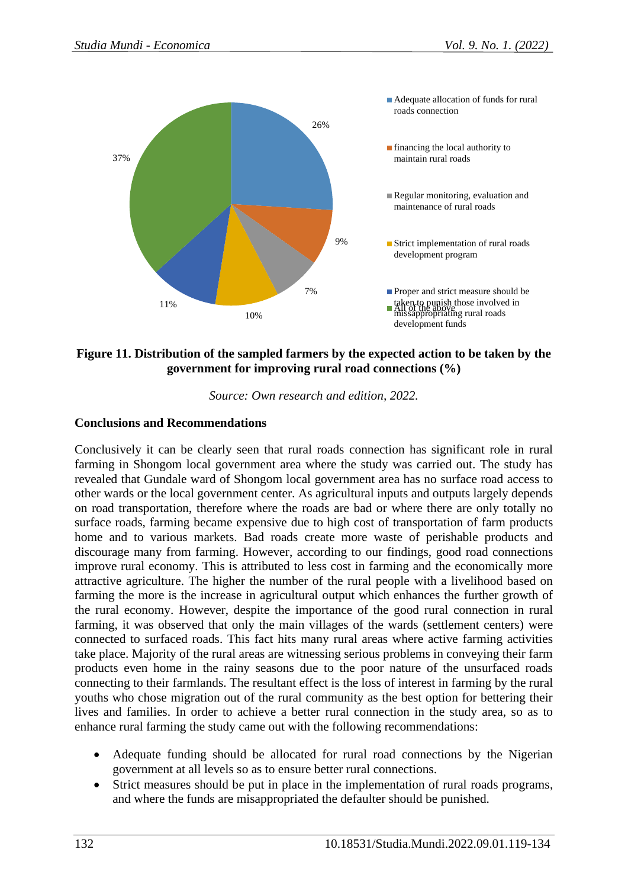

## **Figure 11. Distribution of the sampled farmers by the expected action to be taken by the government for improving rural road connections (%)**

*Source: Own research and edition, 2022.*

#### **Conclusions and Recommendations**

Conclusively it can be clearly seen that rural roads connection has significant role in rural farming in Shongom local government area where the study was carried out. The study has revealed that Gundale ward of Shongom local government area has no surface road access to other wards or the local government center. As agricultural inputs and outputs largely depends on road transportation, therefore where the roads are bad or where there are only totally no surface roads, farming became expensive due to high cost of transportation of farm products home and to various markets. Bad roads create more waste of perishable products and discourage many from farming. However, according to our findings, good road connections improve rural economy. This is attributed to less cost in farming and the economically more attractive agriculture. The higher the number of the rural people with a livelihood based on farming the more is the increase in agricultural output which enhances the further growth of the rural economy. However, despite the importance of the good rural connection in rural farming, it was observed that only the main villages of the wards (settlement centers) were connected to surfaced roads. This fact hits many rural areas where active farming activities take place. Majority of the rural areas are witnessing serious problems in conveying their farm products even home in the rainy seasons due to the poor nature of the unsurfaced roads connecting to their farmlands. The resultant effect is the loss of interest in farming by the rural youths who chose migration out of the rural community as the best option for bettering their lives and families. In order to achieve a better rural connection in the study area, so as to enhance rural farming the study came out with the following recommendations:

- Adequate funding should be allocated for rural road connections by the Nigerian government at all levels so as to ensure better rural connections.
- Strict measures should be put in place in the implementation of rural roads programs, and where the funds are misappropriated the defaulter should be punished.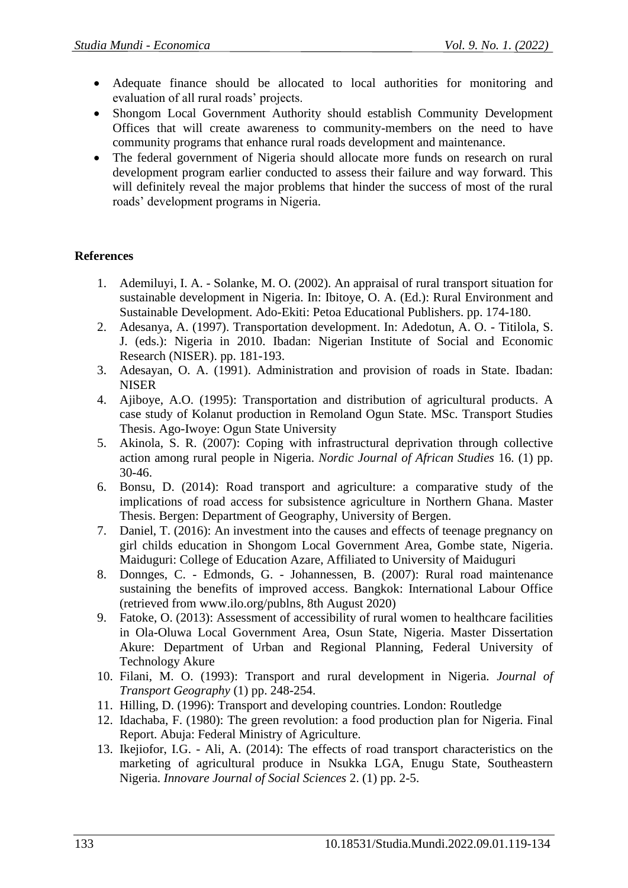- Adequate finance should be allocated to local authorities for monitoring and evaluation of all rural roads' projects.
- Shongom Local Government Authority should establish Community Development Offices that will create awareness to community-members on the need to have community programs that enhance rural roads development and maintenance.
- The federal government of Nigeria should allocate more funds on research on rural development program earlier conducted to assess their failure and way forward. This will definitely reveal the major problems that hinder the success of most of the rural roads' development programs in Nigeria.

# **References**

- 1. Ademiluyi, I. A. Solanke, M. O. (2002). An appraisal of rural transport situation for sustainable development in Nigeria. In: Ibitoye, O. A. (Ed.): Rural Environment and Sustainable Development. Ado-Ekiti: Petoa Educational Publishers. pp. 174-180.
- 2. Adesanya, A. (1997). Transportation development. In: Adedotun, A. O. Titilola, S. J. (eds.): Nigeria in 2010. Ibadan: Nigerian Institute of Social and Economic Research (NISER). pp. 181-193.
- 3. Adesayan, O. A. (1991). Administration and provision of roads in State. Ibadan: NISER
- 4. Ajiboye, A.O. (1995): Transportation and distribution of agricultural products. A case study of Kolanut production in Remoland Ogun State. MSc. Transport Studies Thesis. Ago-Iwoye: Ogun State University
- 5. Akinola, S. R. (2007): Coping with infrastructural deprivation through collective action among rural people in Nigeria. *Nordic Journal of African Studies* 16. (1) pp. 30-46.
- 6. Bonsu, D. (2014): Road transport and agriculture: a comparative study of the implications of road access for subsistence agriculture in Northern Ghana. Master Thesis. Bergen: Department of Geography, University of Bergen.
- 7. Daniel, T. (2016): An investment into the causes and effects of teenage pregnancy on girl childs education in Shongom Local Government Area, Gombe state, Nigeria. Maiduguri: College of Education Azare, Affiliated to University of Maiduguri
- 8. Donnges, C. Edmonds, G. Johannessen, B. (2007): Rural road maintenance sustaining the benefits of improved access. Bangkok: International Labour Office (retrieved from www.ilo.org/publns, 8th August 2020)
- 9. Fatoke, O. (2013): Assessment of accessibility of rural women to healthcare facilities in Ola-Oluwa Local Government Area, Osun State, Nigeria. Master Dissertation Akure: Department of Urban and Regional Planning, Federal University of Technology Akure
- 10. Filani, M. O. (1993): Transport and rural development in Nigeria. *Journal of Transport Geography* (1) pp. 248-254.
- 11. Hilling, D. (1996): Transport and developing countries. London: Routledge
- 12. Idachaba, F. (1980): The green revolution: a food production plan for Nigeria. Final Report. Abuja: Federal Ministry of Agriculture.
- 13. Ikejiofor, I.G. Ali, A. (2014): The effects of road transport characteristics on the marketing of agricultural produce in Nsukka LGA, Enugu State, Southeastern Nigeria. *Innovare Journal of Social Sciences* 2. (1) pp. 2-5.